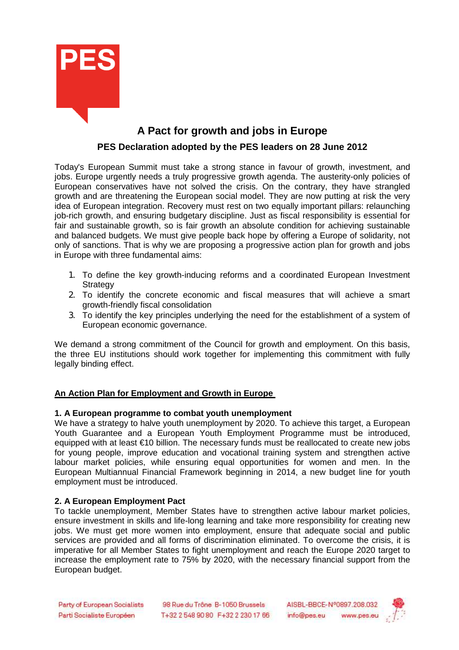

# **A Pact for growth and jobs in Europe PES Declaration adopted by the PES leaders on 28 June 2012**

Today's European Summit must take a strong stance in favour of growth, investment, and jobs. Europe urgently needs a truly progressive growth agenda. The austerity-only policies of European conservatives have not solved the crisis. On the contrary, they have strangled growth and are threatening the European social model. They are now putting at risk the very idea of European integration. Recovery must rest on two equally important pillars: relaunching job-rich growth, and ensuring budgetary discipline. Just as fiscal responsibility is essential for fair and sustainable growth, so is fair growth an absolute condition for achieving sustainable and balanced budgets. We must give people back hope by offering a Europe of solidarity, not only of sanctions. That is why we are proposing a progressive action plan for growth and jobs in Europe with three fundamental aims:

- 1. To define the key growth-inducing reforms and a coordinated European Investment **Strategy**
- 2. To identify the concrete economic and fiscal measures that will achieve a smart growth-friendly fiscal consolidation
- 3. To identify the key principles underlying the need for the establishment of a system of European economic governance.

We demand a strong commitment of the Council for growth and employment. On this basis, the three EU institutions should work together for implementing this commitment with fully legally binding effect.

# **An Action Plan for Employment and Growth in Europe**

#### **1. A European programme to combat youth unemployment**

We have a strategy to halve youth unemployment by 2020. To achieve this target, a European Youth Guarantee and a European Youth Employment Programme must be introduced, equipped with at least €10 billion. The necessary funds must be reallocated to create new jobs for young people, improve education and vocational training system and strengthen active labour market policies, while ensuring equal opportunities for women and men. In the European Multiannual Financial Framework beginning in 2014, a new budget line for youth employment must be introduced.

#### **2. A European Employment Pact**

To tackle unemployment, Member States have to strengthen active labour market policies, ensure investment in skills and life-long learning and take more responsibility for creating new jobs. We must get more women into employment, ensure that adequate social and public services are provided and all forms of discrimination eliminated. To overcome the crisis, it is imperative for all Member States to fight unemployment and reach the Europe 2020 target to increase the employment rate to 75% by 2020, with the necessary financial support from the European budget.

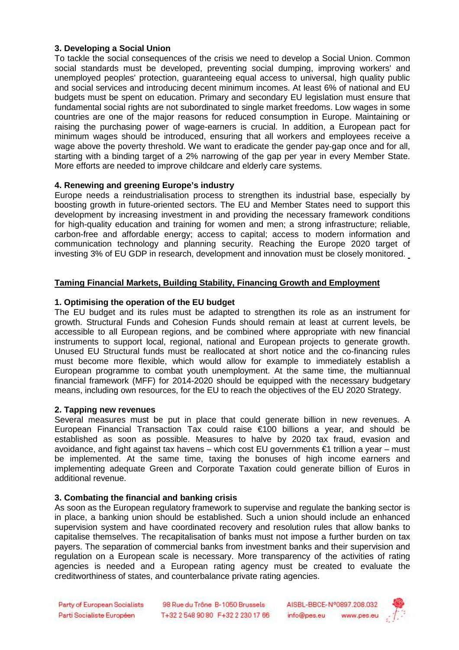## **3. Developing a Social Union**

To tackle the social consequences of the crisis we need to develop a Social Union. Common social standards must be developed, preventing social dumping, improving workers' and unemployed peoples' protection, guaranteeing equal access to universal, high quality public and social services and introducing decent minimum incomes. At least 6% of national and EU budgets must be spent on education. Primary and secondary EU legislation must ensure that fundamental social rights are not subordinated to single market freedoms. Low wages in some countries are one of the major reasons for reduced consumption in Europe. Maintaining or raising the purchasing power of wage-earners is crucial. In addition, a European pact for minimum wages should be introduced, ensuring that all workers and employees receive a wage above the poverty threshold. We want to eradicate the gender pay-gap once and for all, starting with a binding target of a 2% narrowing of the gap per year in every Member State. More efforts are needed to improve childcare and elderly care systems.

#### **4. Renewing and greening Europe's industry**

Europe needs a reindustrialisation process to strengthen its industrial base, especially by boosting growth in future-oriented sectors. The EU and Member States need to support this development by increasing investment in and providing the necessary framework conditions for high-quality education and training for women and men; a strong infrastructure; reliable, carbon-free and affordable energy; access to capital; access to modern information and communication technology and planning security. Reaching the Europe 2020 target of investing 3% of EU GDP in research, development and innovation must be closely monitored.

# **Taming Financial Markets, Building Stability, Financing Growth and Employment**

#### **1. Optimising the operation of the EU budget**

The EU budget and its rules must be adapted to strengthen its role as an instrument for growth. Structural Funds and Cohesion Funds should remain at least at current levels, be accessible to all European regions, and be combined where appropriate with new financial instruments to support local, regional, national and European projects to generate growth. Unused EU Structural funds must be reallocated at short notice and the co-financing rules must become more flexible, which would allow for example to immediately establish a European programme to combat youth unemployment. At the same time, the multiannual financial framework (MFF) for 2014-2020 should be equipped with the necessary budgetary means, including own resources, for the EU to reach the objectives of the EU 2020 Strategy.

#### **2. Tapping new revenues**

Several measures must be put in place that could generate billion in new revenues. A European Financial Transaction Tax could raise €100 billions a year, and should be established as soon as possible. Measures to halve by 2020 tax fraud, evasion and avoidance, and fight against tax havens – which cost EU governments €1 trillion a year – must be implemented. At the same time, taxing the bonuses of high income earners and implementing adequate Green and Corporate Taxation could generate billion of Euros in additional revenue.

#### **3. Combating the financial and banking crisis**

As soon as the European regulatory framework to supervise and regulate the banking sector is in place, a banking union should be established. Such a union should include an enhanced supervision system and have coordinated recovery and resolution rules that allow banks to capitalise themselves. The recapitalisation of banks must not impose a further burden on tax payers. The separation of commercial banks from investment banks and their supervision and regulation on a European scale is necessary. More transparency of the activities of rating agencies is needed and a European rating agency must be created to evaluate the creditworthiness of states, and counterbalance private rating agencies.

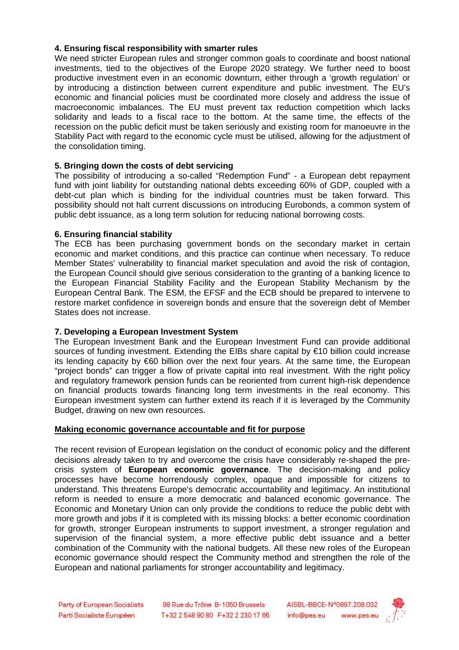#### **4. Ensuring fiscal responsibility with smarter rules**

We need stricter European rules and stronger common goals to coordinate and boost national investments, tied to the objectives of the Europe 2020 strategy. We further need to boost productive investment even in an economic downturn, either through a 'growth regulation' or by introducing a distinction between current expenditure and public investment. The EU's economic and financial policies must be coordinated more closely and address the issue of macroeconomic imbalances. The EU must prevent tax reduction competition which lacks solidarity and leads to a fiscal race to the bottom. At the same time, the effects of the recession on the public deficit must be taken seriously and existing room for manoeuvre in the Stability Pact with regard to the economic cycle must be utilised, allowing for the adjustment of the consolidation timing.

## **5. Bringing down the costs of debt servicing**

The possibility of introducing a so-called "Redemption Fund" - a European debt repayment fund with joint liability for outstanding national debts exceeding 60% of GDP, coupled with a debt-cut plan which is binding for the individual countries must be taken forward. This possibility should not halt current discussions on introducing Eurobonds, a common system of public debt issuance, as a long term solution for reducing national borrowing costs.

#### **6. Ensuring financial stability**

The ECB has been purchasing government bonds on the secondary market in certain economic and market conditions, and this practice can continue when necessary. To reduce Member States' vulnerability to financial market speculation and avoid the risk of contagion, the European Council should give serious consideration to the granting of a banking licence to the European Financial Stability Facility and the European Stability Mechanism by the European Central Bank. The ESM, the EFSF and the ECB should be prepared to intervene to restore market confidence in sovereign bonds and ensure that the sovereign debt of Member States does not increase.

#### **7. Developing a European Investment System**

The European Investment Bank and the European Investment Fund can provide additional sources of funding investment. Extending the EIBs share capital by €10 billion could increase its lending capacity by €60 billion over the next four years. At the same time, the European "project bonds" can trigger a flow of private capital into real investment. With the right policy and regulatory framework pension funds can be reoriented from current high-risk dependence on financial products towards financing long term investments in the real economy. This European investment system can further extend its reach if it is leveraged by the Community Budget, drawing on new own resources.

#### **Making economic governance accountable and fit for purpose**

The recent revision of European legislation on the conduct of economic policy and the different decisions already taken to try and overcome the crisis have considerably re-shaped the precrisis system of **European economic governance**. The decision-making and policy processes have become horrendously complex, opaque and impossible for citizens to understand. This threatens Europe's democratic accountability and legitimacy. An institutional reform is needed to ensure a more democratic and balanced economic governance. The Economic and Monetary Union can only provide the conditions to reduce the public debt with more growth and jobs if it is completed with its missing blocks: a better economic coordination for growth, stronger European instruments to support investment, a stronger regulation and supervision of the financial system, a more effective public debt issuance and a better combination of the Community with the national budgets. All these new roles of the European economic governance should respect the Community method and strengthen the role of the European and national parliaments for stronger accountability and legitimacy.